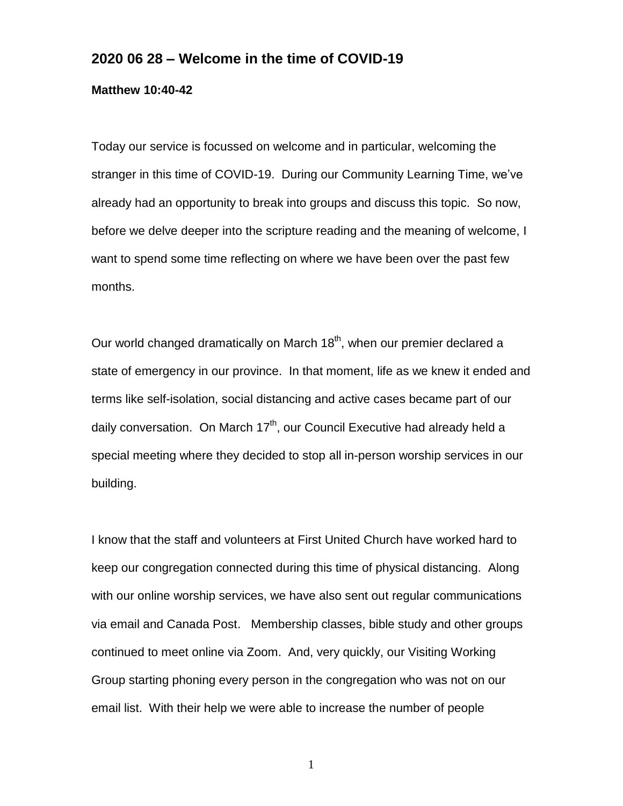## **2020 06 28 – Welcome in the time of COVID-19**

## **Matthew 10:40-42**

Today our service is focussed on welcome and in particular, welcoming the stranger in this time of COVID-19. During our Community Learning Time, we've already had an opportunity to break into groups and discuss this topic. So now, before we delve deeper into the scripture reading and the meaning of welcome, I want to spend some time reflecting on where we have been over the past few months.

Our world changed dramatically on March 18<sup>th</sup>, when our premier declared a state of emergency in our province. In that moment, life as we knew it ended and terms like self-isolation, social distancing and active cases became part of our daily conversation. On March 17<sup>th</sup>, our Council Executive had already held a special meeting where they decided to stop all in-person worship services in our building.

I know that the staff and volunteers at First United Church have worked hard to keep our congregation connected during this time of physical distancing. Along with our online worship services, we have also sent out regular communications via email and Canada Post. Membership classes, bible study and other groups continued to meet online via Zoom. And, very quickly, our Visiting Working Group starting phoning every person in the congregation who was not on our email list. With their help we were able to increase the number of people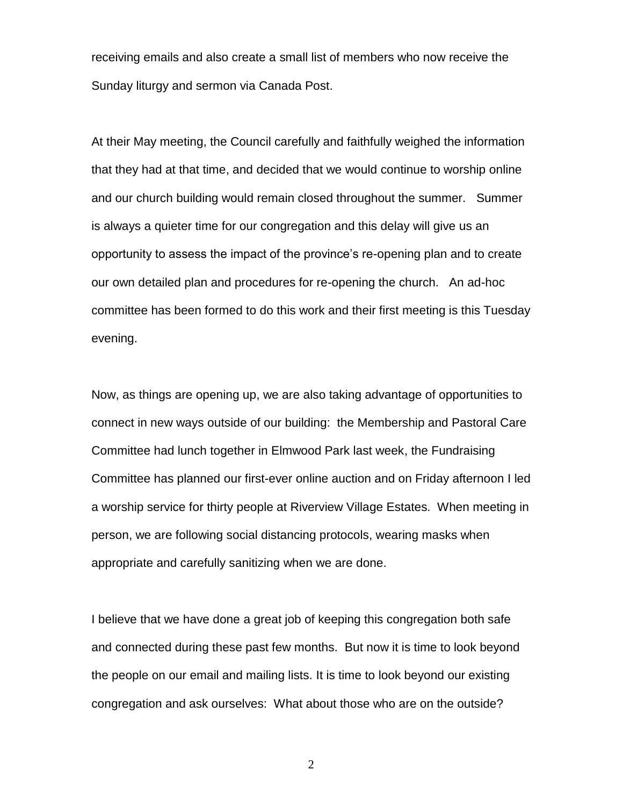receiving emails and also create a small list of members who now receive the Sunday liturgy and sermon via Canada Post.

At their May meeting, the Council carefully and faithfully weighed the information that they had at that time, and decided that we would continue to worship online and our church building would remain closed throughout the summer. Summer is always a quieter time for our congregation and this delay will give us an opportunity to assess the impact of the province's re-opening plan and to create our own detailed plan and procedures for re-opening the church. An ad-hoc committee has been formed to do this work and their first meeting is this Tuesday evening.

Now, as things are opening up, we are also taking advantage of opportunities to connect in new ways outside of our building: the Membership and Pastoral Care Committee had lunch together in Elmwood Park last week, the Fundraising Committee has planned our first-ever online auction and on Friday afternoon I led a worship service for thirty people at Riverview Village Estates. When meeting in person, we are following social distancing protocols, wearing masks when appropriate and carefully sanitizing when we are done.

I believe that we have done a great job of keeping this congregation both safe and connected during these past few months. But now it is time to look beyond the people on our email and mailing lists. It is time to look beyond our existing congregation and ask ourselves: What about those who are on the outside?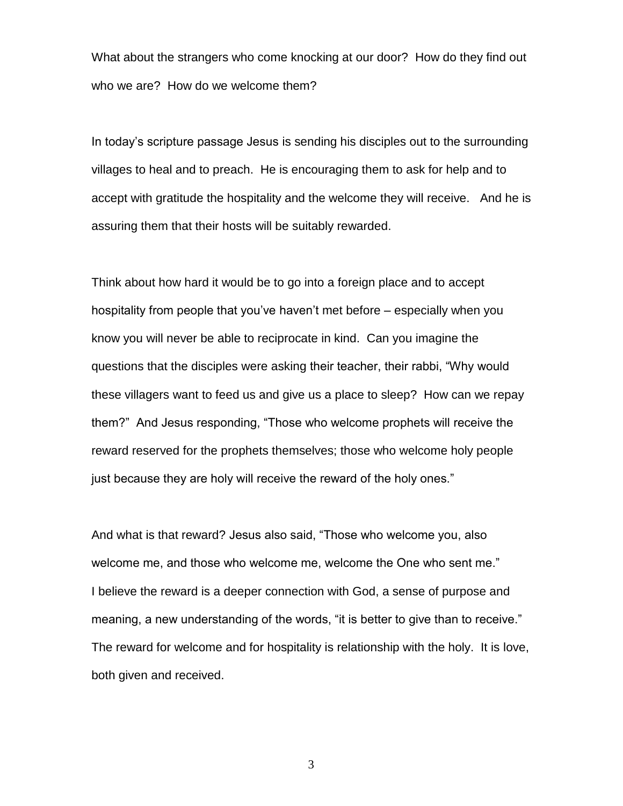What about the strangers who come knocking at our door? How do they find out who we are? How do we welcome them?

In today's scripture passage Jesus is sending his disciples out to the surrounding villages to heal and to preach. He is encouraging them to ask for help and to accept with gratitude the hospitality and the welcome they will receive. And he is assuring them that their hosts will be suitably rewarded.

Think about how hard it would be to go into a foreign place and to accept hospitality from people that you've haven't met before – especially when you know you will never be able to reciprocate in kind. Can you imagine the questions that the disciples were asking their teacher, their rabbi, "Why would these villagers want to feed us and give us a place to sleep? How can we repay them?" And Jesus responding, "Those who welcome prophets will receive the reward reserved for the prophets themselves; those who welcome holy people just because they are holy will receive the reward of the holy ones."

And what is that reward? Jesus also said, "Those who welcome you, also welcome me, and those who welcome me, welcome the One who sent me." I believe the reward is a deeper connection with God, a sense of purpose and meaning, a new understanding of the words, "it is better to give than to receive." The reward for welcome and for hospitality is relationship with the holy. It is love, both given and received.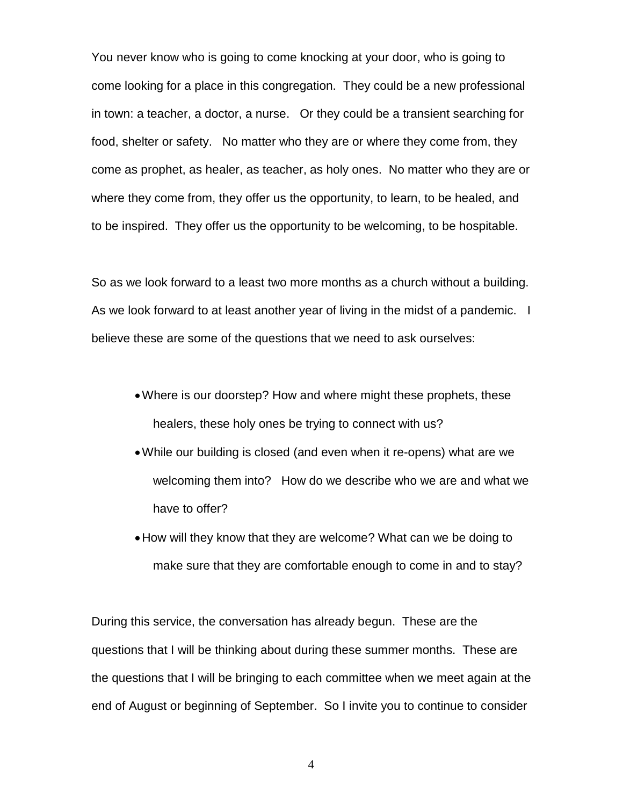You never know who is going to come knocking at your door, who is going to come looking for a place in this congregation. They could be a new professional in town: a teacher, a doctor, a nurse. Or they could be a transient searching for food, shelter or safety. No matter who they are or where they come from, they come as prophet, as healer, as teacher, as holy ones. No matter who they are or where they come from, they offer us the opportunity, to learn, to be healed, and to be inspired. They offer us the opportunity to be welcoming, to be hospitable.

So as we look forward to a least two more months as a church without a building. As we look forward to at least another year of living in the midst of a pandemic. I believe these are some of the questions that we need to ask ourselves:

- Where is our doorstep? How and where might these prophets, these healers, these holy ones be trying to connect with us?
- While our building is closed (and even when it re-opens) what are we welcoming them into? How do we describe who we are and what we have to offer?
- How will they know that they are welcome? What can we be doing to make sure that they are comfortable enough to come in and to stay?

During this service, the conversation has already begun. These are the questions that I will be thinking about during these summer months. These are the questions that I will be bringing to each committee when we meet again at the end of August or beginning of September. So I invite you to continue to consider